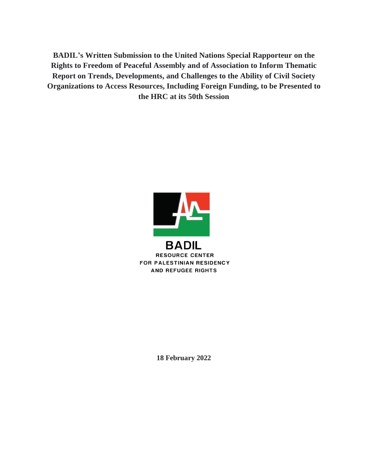**BADIL's Written Submission to the United Nations Special Rapporteur on the Rights to Freedom of Peaceful Assembly and of Association to Inform Thematic Report on Trends, Developments, and Challenges to the Ability of Civil Society Organizations to Access Resources, Including Foreign Funding, to be Presented to the HRC at its 50th Session**



**18 February 2022**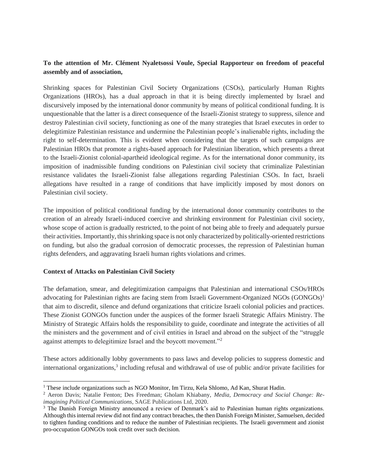# **To the attention of Mr. Clément Nyaletsossi Voule, Special Rapporteur on freedom of peaceful assembly and of association,**

Shrinking spaces for Palestinian Civil Society Organizations (CSOs), particularly Human Rights Organizations (HROs), has a dual approach in that it is being directly implemented by Israel and discursively imposed by the international donor community by means of political conditional funding. It is unquestionable that the latter is a direct consequence of the Israeli-Zionist strategy to suppress, silence and destroy Palestinian civil society, functioning as one of the many strategies that Israel executes in order to delegitimize Palestinian resistance and undermine the Palestinian people's inalienable rights, including the right to self-determination. This is evident when considering that the targets of such campaigns are Palestinian HROs that promote a rights-based approach for Palestinian liberation, which presents a threat to the Israeli-Zionist colonial-apartheid ideological regime. As for the international donor community, its imposition of inadmissible funding conditions on Palestinian civil society that criminalize Palestinian resistance validates the Israeli-Zionist false allegations regarding Palestinian CSOs. In fact, Israeli allegations have resulted in a range of conditions that have implicitly imposed by most donors on Palestinian civil society.

The imposition of political conditional funding by the international donor community contributes to the creation of an already Israeli-induced coercive and shrinking environment for Palestinian civil society, whose scope of action is gradually restricted, to the point of not being able to freely and adequately pursue their activities. Importantly, this shrinking space is not only characterized by politically-oriented restrictions on funding, but also the gradual corrosion of democratic processes, the repression of Palestinian human rights defenders, and aggravating Israeli human rights violations and crimes.

### **Context of Attacks on Palestinian Civil Society**

The defamation, smear, and delegitimization campaigns that Palestinian and international CSOs/HROs advocating for Palestinian rights are facing stem from Israeli Government-Organized NGOs (GONGOs)<sup>1</sup> that aim to discredit, silence and defund organizations that criticize Israeli colonial policies and practices. These Zionist GONGOs function under the auspices of the former Israeli Strategic Affairs Ministry. The Ministry of Strategic Affairs holds the responsibility to guide, coordinate and integrate the activities of all the ministers and the government and of civil entities in Israel and abroad on the subject of the "struggle against attempts to delegitimize Israel and the boycott movement."<sup>2</sup>

These actors additionally lobby governments to pass laws and develop policies to suppress domestic and international organizations,<sup>3</sup> including refusal and withdrawal of use of public and/or private facilities for

 <sup>1</sup> These include organizations such as NGO Monitor, Im Tirzu, Kela Shlomo, Ad Kan, Shurat Hadin.

<sup>2</sup> Aeron Davis; Natalie Fenton; Des Freedman; Gholam Khiabany, *Media, Democracy and Social Change: Reimagining Political Communications*, SAGE Publications Ltd, 2020.

<sup>&</sup>lt;sup>3</sup> The Danish Foreign Ministry announced a review of Denmark's aid to Palestinian human rights organizations. Although this internal review did not find any contract breaches, the then Danish Foreign Minister, Samuelsen, decided to tighten funding conditions and to reduce the number of Palestinian recipients. The Israeli government and zionist pro-occupation GONGOs took credit over such decision.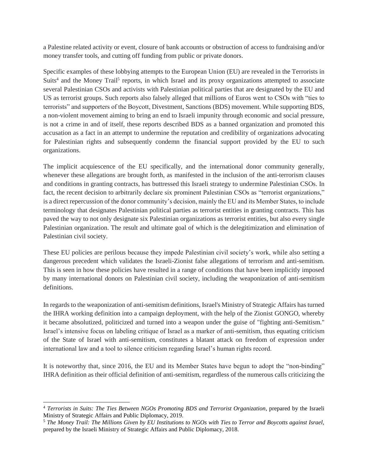a Palestine related activity or event, closure of bank accounts or obstruction of access to fundraising and/or money transfer tools, and cutting off funding from public or private donors.

Specific examples of these lobbying attempts to the European Union (EU) are revealed in the Terrorists in Suits<sup>4</sup> and the Money Trail<sup>5</sup> reports, in which Israel and its proxy organizations attempted to associate several Palestinian CSOs and activists with Palestinian political parties that are designated by the EU and US as terrorist groups. Such reports also falsely alleged that millions of Euros went to CSOs with "ties to terrorists" and supporters of the Boycott, Divestment, Sanctions (BDS) movement. While supporting BDS, a non-violent movement aiming to bring an end to Israeli impunity through economic and social pressure, is not a crime in and of itself, these reports described BDS as a banned organization and promoted this accusation as a fact in an attempt to undermine the reputation and credibility of organizations advocating for Palestinian rights and subsequently condemn the financial support provided by the EU to such organizations.

The implicit acquiescence of the EU specifically, and the international donor community generally, whenever these allegations are brought forth, as manifested in the inclusion of the anti-terrorism clauses and conditions in granting contracts, has buttressed this Israeli strategy to undermine Palestinian CSOs. In fact, the recent decision to arbitrarily declare six prominent Palestinian CSOs as "terrorist organizations," is a direct repercussion of the donor community's decision, mainly the EU and its Member States, to include terminology that designates Palestinian political parties as terrorist entities in granting contracts. This has paved the way to not only designate six Palestinian organizations as terrorist entities, but also every single Palestinian organization. The result and ultimate goal of which is the delegitimization and elimination of Palestinian civil society.

These EU policies are perilous because they impede Palestinian civil society's work, while also setting a dangerous precedent which validates the Israeli-Zionist false allegations of terrorism and anti-semitism. This is seen in how these policies have resulted in a range of conditions that have been implicitly imposed by many international donors on Palestinian civil society, including the weaponization of anti-semitism definitions.

In regards to the weaponization of anti-semitism definitions, Israel's Ministry of Strategic Affairs has turned the IHRA working definition into a campaign deployment, with the help of the Zionist GONGO, whereby it became absolutized, politicized and turned into a weapon under the guise of "fighting anti-Semitism." Israel's intensive focus on labeling critique of Israel as a marker of anti-semitism, thus equating criticism of the State of Israel with anti-semitism, constitutes a blatant attack on freedom of expression under international law and a tool to silence criticism regarding Israel's human rights record.

It is noteworthy that, since 2016, the EU and its Member States have begun to adopt the "non-binding" IHRA definition as their official definition of anti-semitism, regardless of the numerous calls criticizing the

<sup>4</sup> *Terrorists in Suits: The Ties Between NGOs Promoting BDS and Terrorist Organization*, prepared by the Israeli Ministry of Strategic Affairs and Public Diplomacy, 2019.

<sup>5</sup> *The Money Trail: The Millions Given by EU Institutions to NGOs with Ties to Terror and Boycotts against Israel,*  prepared by the Israeli Ministry of Strategic Affairs and Public Diplomacy, 2018.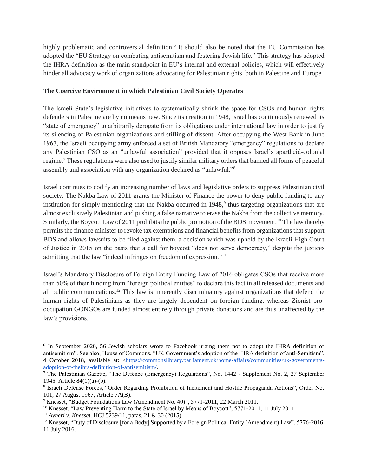highly problematic and controversial definition.<sup>6</sup> It should also be noted that the EU Commission has adopted the "EU Strategy on combating antisemitism and fostering Jewish life." This strategy has adopted the IHRA definition as the main standpoint in EU's internal and external policies, which will effectively hinder all advocacy work of organizations advocating for Palestinian rights, both in Palestine and Europe.

### **The Coercive Environment in which Palestinian Civil Society Operates**

The Israeli State's legislative initiatives to systematically shrink the space for CSOs and human rights defenders in Palestine are by no means new. Since its creation in 1948, Israel has continuously renewed its "state of emergency" to arbitrarily derogate from its obligations under international law in order to justify its silencing of Palestinian organizations and stifling of dissent. After occupying the West Bank in June 1967, the Israeli occupying army enforced a set of British Mandatory "emergency" regulations to declare any Palestinian CSO as an "unlawful association" provided that it opposes Israel's apartheid-colonial regime.<sup>7</sup> These regulations were also used to justify similar military orders that banned all forms of peaceful assembly and association with any organization declared as "unlawful."<sup>8</sup>

Israel continues to codify an increasing number of laws and legislative orders to suppress Palestinian civil society. The Nakba Law of 2011 grants the Minister of Finance the power to deny public funding to any institution for simply mentioning that the Nakba occurred in  $1948$ ,<sup>9</sup> thus targeting organizations that are almost exclusively Palestinian and pushing a false narrative to erase the Nakba from the collective memory. Similarly, the Boycott Law of 2011 prohibits the public promotion of the BDS movement.<sup>10</sup> The law thereby permits the finance minister to revoke tax exemptions and financial benefits from organizations that support BDS and allows lawsuits to be filed against them, a decision which was upheld by the Israeli High Court of Justice in 2015 on the basis that a call for boycott "does not serve democracy," despite the justices admitting that the law "indeed infringes on freedom of expression."<sup>11</sup>

Israel's Mandatory Disclosure of Foreign Entity Funding Law of 2016 obligates CSOs that receive more than 50% of their funding from "foreign political entities" to declare this fact in all released documents and all public communications.<sup>12</sup> This law is inherently discriminatory against organizations that defend the human rights of Palestinians as they are largely dependent on foreign funding, whereas Zionist prooccupation GONGOs are funded almost entirely through private donations and are thus unaffected by the law's provisions.

<sup>&</sup>lt;sup>6</sup> In September 2020, 56 Jewish scholars wrote to Facebook urging them not to adopt the IHRA definition of antisemitism". See also, House of Commons, "UK Government's adoption of the IHRA definition of anti-Semitism", 4 October 2018, available at: [<https://commonslibrary.parliament.uk/home-affairs/communities/uk-governments](https://commonslibrary.parliament.uk/home-affairs/communities/uk-governments-adoption-of-theihra-definition-of-antisemitism/)[adoption-of-theihra-definition-of-antisemitism/.](https://commonslibrary.parliament.uk/home-affairs/communities/uk-governments-adoption-of-theihra-definition-of-antisemitism/)

<sup>&</sup>lt;sup>7</sup> The Palestinian Gazette, "The Defence (Emergency) Regulations", No. 1442 - Supplement No. 2, 27 September 1945, Article 84(1)(a)-(b).

<sup>8</sup> Israeli Defense Forces, "Order Regarding Prohibition of Incitement and Hostile Propaganda Actions", Order No. 101, 27 August 1967, Article 7A(B).

<sup>9</sup> Knesset, "Budget Foundations Law (Amendment No. 40)", 5771-2011, 22 March 2011.

<sup>&</sup>lt;sup>10</sup> Knesset, "Law Preventing Harm to the State of Israel by Means of Boycott", 5771-2011, 11 July 2011.

<sup>11</sup> *Avneri v. Knesse*t. HCJ 5239/11, paras. 21 & 30 (2015).

<sup>&</sup>lt;sup>12</sup> Knesset, "Duty of Disclosure [for a Body] Supported by a Foreign Political Entity (Amendment) Law", 5776-2016, 11 July 2016.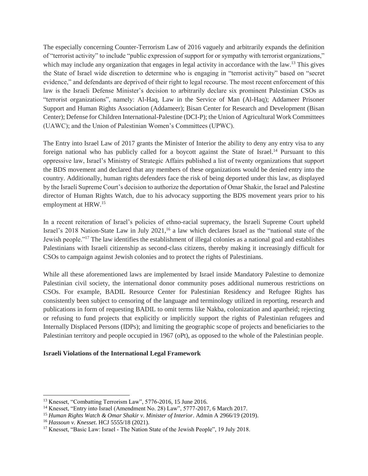The especially concerning Counter-Terrorism Law of 2016 vaguely and arbitrarily expands the definition of "terrorist activity" to include "public expression of support for or sympathy with terrorist organizations," which may include any organization that engages in legal activity in accordance with the law.<sup>13</sup> This gives the State of Israel wide discretion to determine who is engaging in "terrorist activity" based on "secret evidence," and defendants are deprived of their right to legal recourse. The most recent enforcement of this law is the Israeli Defense Minister's decision to arbitrarily declare six prominent Palestinian CSOs as "terrorist organizations", namely: Al-Haq, Law in the Service of Man (Al-Haq); Addameer Prisoner Support and Human Rights Association (Addameer); Bisan Center for Research and Development (Bisan Center); Defense for Children International-Palestine (DCI-P); the Union of Agricultural Work Committees (UAWC); and the Union of Palestinian Women's Committees (UPWC).

The Entry into Israel Law of 2017 grants the Minister of Interior the ability to deny any entry visa to any foreign national who has publicly called for a boycott against the State of Israel.<sup>14</sup> Pursuant to this oppressive law, Israel's Ministry of Strategic Affairs published a list of twenty organizations that support the BDS movement and declared that any members of these organizations would be denied entry into the country. Additionally, human rights defenders face the risk of being deported under this law, as displayed by the Israeli Supreme Court's decision to authorize the deportation of Omar Shakir, the Israel and Palestine director of Human Rights Watch, due to his advocacy supporting the BDS movement years prior to his employment at HRW.<sup>15</sup>

In a recent reiteration of Israel's policies of ethno-racial supremacy, the Israeli Supreme Court upheld Israel's 2018 Nation-State Law in July 2021,<sup>16</sup> a law which declares Israel as the "national state of the Jewish people."<sup>17</sup> The law identifies the establishment of illegal colonies as a national goal and establishes Palestinians with Israeli citizenship as second-class citizens, thereby making it increasingly difficult for CSOs to campaign against Jewish colonies and to protect the rights of Palestinians.

While all these aforementioned laws are implemented by Israel inside Mandatory Palestine to demonize Palestinian civil society, the international donor community poses additional numerous restrictions on CSOs. For example, BADIL Resource Center for Palestinian Residency and Refugee Rights has consistently been subject to censoring of the language and terminology utilized in reporting, research and publications in form of requesting BADIL to omit terms like Nakba, colonization and apartheid; rejecting or refusing to fund projects that explicitly or implicitly support the rights of Palestinian refugees and Internally Displaced Persons (IDPs); and limiting the geographic scope of projects and beneficiaries to the Palestinian territory and people occupied in 1967 (oPt), as opposed to the whole of the Palestinian people.

### **Israeli Violations of the International Legal Framework**

<sup>13</sup> Knesset, "Combatting Terrorism Law", 5776-2016, 15 June 2016.

<sup>&</sup>lt;sup>14</sup> Knesset, "Entry into Israel (Amendment No. 28) Law", 5777-2017, 6 March 2017.

<sup>15</sup> *Human Rights Watch & Omar Shakir v. Minister of Interior*. Admin A 2966/19 (2019).

<sup>16</sup> *Hassoun v. Knesset*. HCJ 5555/18 (2021).

<sup>&</sup>lt;sup>17</sup> Knesset, "Basic Law: Israel - The Nation State of the Jewish People", 19 July 2018.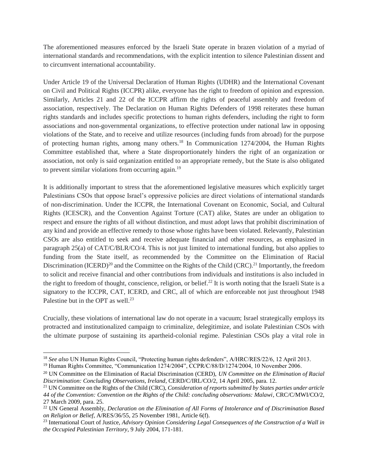The aforementioned measures enforced by the Israeli State operate in brazen violation of a myriad of international standards and recommendations, with the explicit intention to silence Palestinian dissent and to circumvent international accountability.

Under Article 19 of the Universal Declaration of Human Rights (UDHR) and the International Covenant on Civil and Political Rights (ICCPR) alike, everyone has the right to freedom of opinion and expression. Similarly, Articles 21 and 22 of the ICCPR affirm the rights of peaceful assembly and freedom of association, respectively. The Declaration on Human Rights Defenders of 1998 reiterates these human rights standards and includes specific protections to human rights defenders, including the right to form associations and non-governmental organizations, to effective protection under national law in opposing violations of the State, and to receive and utilize resources (including funds from abroad) for the purpose of protecting human rights, among many others.<sup>18</sup> In Communication 1274/2004, the Human Rights Committee established that, where a State disproportionately hinders the right of an organization or association, not only is said organization entitled to an appropriate remedy, but the State is also obligated to prevent similar violations from occurring again.<sup>19</sup>

It is additionally important to stress that the aforementioned legislative measures which explicitly target Palestinians CSOs that oppose Israel's oppressive policies are direct violations of international standards of non-discrimination. Under the ICCPR, the International Covenant on Economic, Social, and Cultural Rights (ICESCR), and the Convention Against Torture (CAT) alike, States are under an obligation to respect and ensure the rights of all without distinction, and must adopt laws that prohibit discrimination of any kind and provide an effective remedy to those whose rights have been violated. Relevantly, Palestinian CSOs are also entitled to seek and receive adequate financial and other resources, as emphasized in paragraph 25(a) of CAT/C/BLR/CO/4. This is not just limited to international funding, but also applies to funding from the State itself, as recommended by the Committee on the Elimination of Racial Discrimination  $(ICERD)<sup>20</sup>$  and the Committee on the Rights of the Child  $(CRC)<sup>21</sup>$  Importantly, the freedom to solicit and receive financial and other contributions from individuals and institutions is also included in the right to freedom of thought, conscience, religion, or belief.<sup>22</sup> It is worth noting that the Israeli State is a signatory to the ICCPR, CAT, ICERD, and CRC, all of which are enforceable not just throughout 1948 Palestine but in the OPT as well.<sup>23</sup>

Crucially, these violations of international law do not operate in a vacuum; Israel strategically employs its protracted and institutionalized campaign to criminalize, delegitimize, and isolate Palestinian CSOs with the ultimate purpose of sustaining its apartheid-colonial regime. Palestinian CSOs play a vital role in

 $\overline{a}$ <sup>18</sup> *See also* UN Human Rights Council, "Protecting human rights defenders", A/HRC/RES/22/6, 12 April 2013.

<sup>19</sup> Human Rights Committee, "Communication 1274/2004", CCPR/C/88/D/1274/2004, 10 November 2006.

<sup>20</sup> UN Committee on the Elimination of Racial Discrimination (CERD), *UN Committee on the Elimination of Racial Discrimination: Concluding Observations, Ireland*, CERD/C/IRL/CO/2, 14 April 2005, para. 12.

<sup>21</sup> UN Committee on the Rights of the Child (CRC), *Consideration of reports submitted by States parties under article 44 of the Convention: Convention on the Rights of the Child: concluding observations: Malawi*, CRC/C/MWI/CO/2, 27 March 2009, para. 25.

<sup>22</sup> UN General Assembly, *Declaration on the Elimination of All Forms of Intolerance and of Discrimination Based on Religion or Belief*, A/RES/36/55, 25 November 1981, Article 6(f).

<sup>23</sup> International Court of Justice, *Advisory Opinion Considering Legal Consequences of the Construction of a Wall in the Occupied Palestinian Territory*, 9 July 2004, 171-181.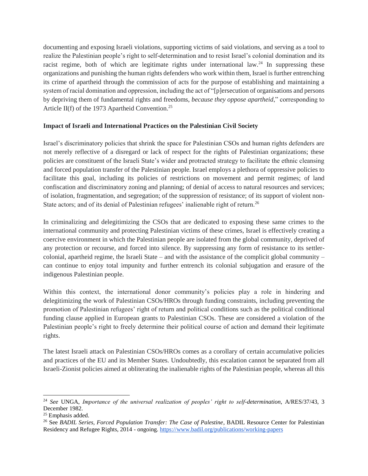documenting and exposing Israeli violations, supporting victims of said violations, and serving as a tool to realize the Palestinian people's right to self-determination and to resist Israel's colonial domination and its racist regime, both of which are legitimate rights under international law.<sup>24</sup> In suppressing these organizations and punishing the human rights defenders who work within them, Israel is further entrenching its crime of apartheid through the commission of acts for the purpose of establishing and maintaining a system of racial domination and oppression, including the act of "[p]ersecution of organisations and persons by depriving them of fundamental rights and freedoms, *because they oppose apartheid*," corresponding to Article II(f) of the 1973 Apartheid Convention.<sup>25</sup>

## **Impact of Israeli and International Practices on the Palestinian Civil Society**

Israel's discriminatory policies that shrink the space for Palestinian CSOs and human rights defenders are not merely reflective of a disregard or lack of respect for the rights of Palestinian organizations; these policies are constituent of the Israeli State's wider and protracted strategy to facilitate the ethnic cleansing and forced population transfer of the Palestinian people. Israel employs a plethora of oppressive policies to facilitate this goal, including its policies of restrictions on movement and permit regimes; of land confiscation and discriminatory zoning and planning; of denial of access to natural resources and services; of isolation, fragmentation, and segregation; of the suppression of resistance; of its support of violent non-State actors; and of its denial of Palestinian refugees' inalienable right of return.<sup>26</sup>

In criminalizing and delegitimizing the CSOs that are dedicated to exposing these same crimes to the international community and protecting Palestinian victims of these crimes, Israel is effectively creating a coercive environment in which the Palestinian people are isolated from the global community, deprived of any protection or recourse, and forced into silence. By suppressing any form of resistance to its settlercolonial, apartheid regime, the Israeli State – and with the assistance of the complicit global community – can continue to enjoy total impunity and further entrench its colonial subjugation and erasure of the indigenous Palestinian people.

Within this context, the international donor community's policies play a role in hindering and delegitimizing the work of Palestinian CSOs/HROs through funding constraints, including preventing the promotion of Palestinian refugees' right of return and political conditions such as the political conditional funding clause applied in European grants to Palestinian CSOs. These are considered a violation of the Palestinian people's right to freely determine their political course of action and demand their legitimate rights.

The latest Israeli attack on Palestinian CSOs/HROs comes as a corollary of certain accumulative policies and practices of the EU and its Member States. Undoubtedly, this escalation cannot be separated from all Israeli-Zionist policies aimed at obliterating the inalienable rights of the Palestinian people, whereas all this

<sup>24</sup> *See* UNGA, *Importance of the universal realization of peoples' right to self-determination*, A/RES/37/43, 3 December 1982.

<sup>25</sup> Emphasis added.

<sup>26</sup> See *BADIL Series, Forced Population Transfer: The Case of Palestine*, BADIL Resource Center for Palestinian Residency and Refugee Rights, 2014 - ongoing.<https://www.badil.org/publications/working-papers>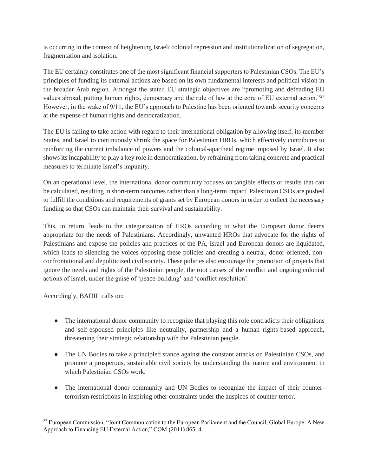is occurring in the context of heightening Israeli colonial repression and institutionalization of segregation, fragmentation and isolation.

The EU certainly constitutes one of the most significant financial supporters to Palestinian CSOs. The EU's principles of funding its external actions are based on its own fundamental interests and political vision in the broader Arab region. Amongst the stated EU strategic objectives are "promoting and defending EU values abroad, putting human rights, democracy and the rule of law at the core of EU external action."<sup>27</sup> However, in the wake of 9/11, the EU's approach to Palestine has been oriented towards security concerns at the expense of human rights and democratization.

The EU is failing to take action with regard to their international obligation by allowing itself, its member States, and Israel to continuously shrink the space for Palestinian HROs, which effectively contributes to reinforcing the current imbalance of powers and the colonial-apartheid regime imposed by Israel. It also shows its incapability to play a key role in democratization, by refraining from taking concrete and practical measures to terminate Israel's impunity.

On an operational level, the international donor community focuses on tangible effects or results that can be calculated, resulting in short-term outcomes rather than a long-term impact. Palestinian CSOs are pushed to fulfill the conditions and requirements of grants set by European donors in order to collect the necessary funding so that CSOs can maintain their survival and sustainability.

This, in return, leads to the categorization of HROs according to what the European donor deems appropriate for the needs of Palestinians. Accordingly, unwanted HROs that advocate for the rights of Palestinians and expose the policies and practices of the PA, Israel and European donors are liquidated, which leads to silencing the voices opposing these policies and creating a neutral, donor-oriented, nonconfrontational and depoliticized civil society. These policies also encourage the promotion of projects that ignore the needs and rights of the Palestinian people, the root causes of the conflict and ongoing colonial actions of Israel, under the guise of 'peace-building' and 'conflict resolution'.

Accordingly, BADIL calls on:

- The international donor community to recognize that playing this role contradicts their obligations and self-espoused principles like neutrality, partnership and a human rights-based approach, threatening their strategic relationship with the Palestinian people.
- The UN Bodies to take a principled stance against the constant attacks on Palestinian CSOs, and promote a prosperous, sustainable civil society by understanding the nature and environment in which Palestinian CSOs work.
- The international donor community and UN Bodies to recognize the impact of their counterterrorism restrictions in inspiring other constraints under the auspices of counter-terror.

 <sup>27</sup> European Commission, "Joint Communication to the European Parliament and the Council, Global Europe: A New Approach to Financing EU External Action," COM (2011) 865, 4